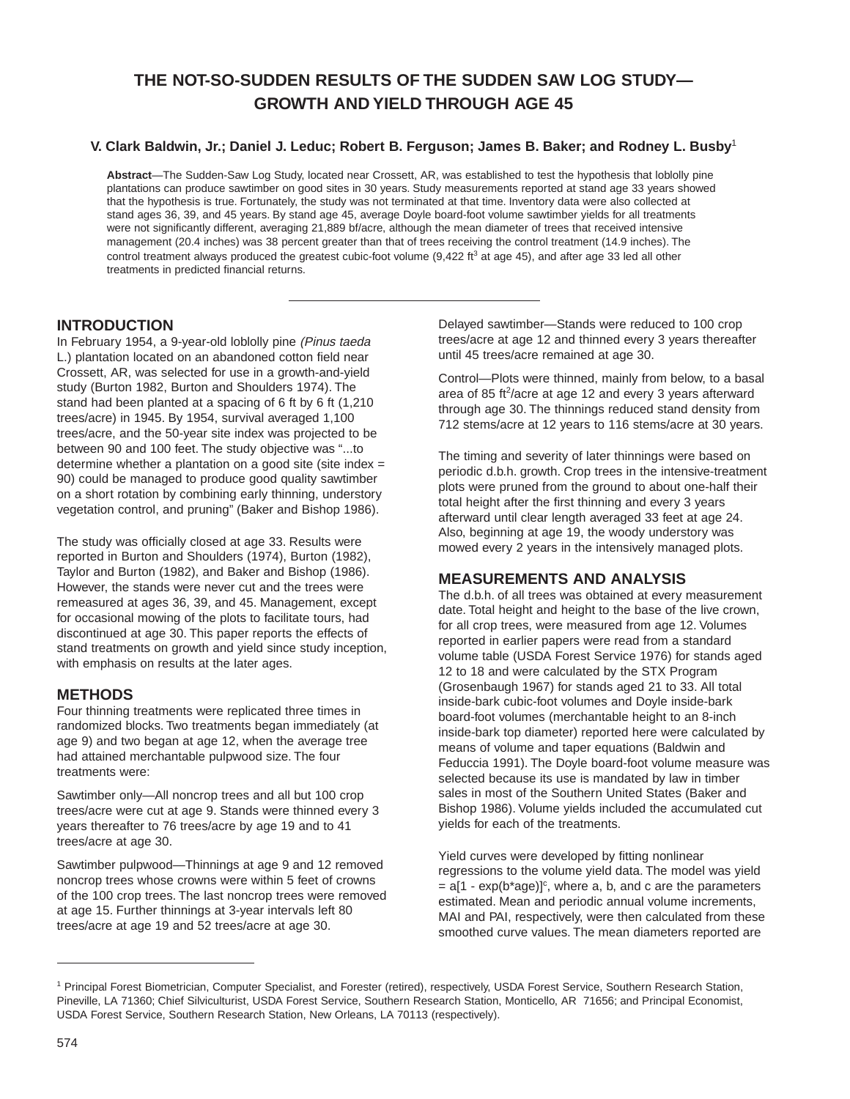# **THE NOT-SO-SUDDEN RESULTS OF THE SUDDEN SAW LOG STUDY— GROWTH AND YIELD THROUGH AGE 45**

#### **V. Clark Baldwin, Jr.; Daniel J. Leduc; Robert B. Ferguson; James B. Baker; and Rodney L. Busby**<sup>1</sup>

**Abstract**—The Sudden-Saw Log Study, located near Crossett, AR, was established to test the hypothesis that loblolly pine plantations can produce sawtimber on good sites in 30 years. Study measurements reported at stand age 33 years showed that the hypothesis is true. Fortunately, the study was not terminated at that time. Inventory data were also collected at stand ages 36, 39, and 45 years. By stand age 45, average Doyle board-foot volume sawtimber yields for all treatments were not significantly different, averaging 21,889 bf/acre, although the mean diameter of trees that received intensive management (20.4 inches) was 38 percent greater than that of trees receiving the control treatment (14.9 inches). The control treatment always produced the greatest cubic-foot volume  $(9,422 \text{ ft}^3 \text{ at age 45})$ , and after age 33 led all other treatments in predicted financial returns.

### **INTRODUCTION**

In February 1954, a 9-year-old loblolly pine (Pinus taeda L.) plantation located on an abandoned cotton field near Crossett, AR, was selected for use in a growth-and-yield study (Burton 1982, Burton and Shoulders 1974). The stand had been planted at a spacing of 6 ft by 6 ft (1,210 trees/acre) in 1945. By 1954, survival averaged 1,100 trees/acre, and the 50-year site index was projected to be between 90 and 100 feet. The study objective was "...to determine whether a plantation on a good site (site index = 90) could be managed to produce good quality sawtimber on a short rotation by combining early thinning, understory vegetation control, and pruning" (Baker and Bishop 1986).

The study was officially closed at age 33. Results were reported in Burton and Shoulders (1974), Burton (1982), Taylor and Burton (1982), and Baker and Bishop (1986). However, the stands were never cut and the trees were remeasured at ages 36, 39, and 45. Management, except for occasional mowing of the plots to facilitate tours, had discontinued at age 30. This paper reports the effects of stand treatments on growth and yield since study inception, with emphasis on results at the later ages.

### **METHODS**

Four thinning treatments were replicated three times in randomized blocks. Two treatments began immediately (at age 9) and two began at age 12, when the average tree had attained merchantable pulpwood size. The four treatments were:

Sawtimber only—All noncrop trees and all but 100 crop trees/acre were cut at age 9. Stands were thinned every 3 years thereafter to 76 trees/acre by age 19 and to 41 trees/acre at age 30.

Sawtimber pulpwood—Thinnings at age 9 and 12 removed noncrop trees whose crowns were within 5 feet of crowns of the 100 crop trees. The last noncrop trees were removed at age 15. Further thinnings at 3-year intervals left 80 trees/acre at age 19 and 52 trees/acre at age 30.

Delayed sawtimber—Stands were reduced to 100 crop trees/acre at age 12 and thinned every 3 years thereafter until 45 trees/acre remained at age 30.

Control—Plots were thinned, mainly from below, to a basal area of 85 ft<sup>2</sup>/acre at age 12 and every 3 years afterward through age 30. The thinnings reduced stand density from 712 stems/acre at 12 years to 116 stems/acre at 30 years.

The timing and severity of later thinnings were based on periodic d.b.h. growth. Crop trees in the intensive-treatment plots were pruned from the ground to about one-half their total height after the first thinning and every 3 years afterward until clear length averaged 33 feet at age 24. Also, beginning at age 19, the woody understory was mowed every 2 years in the intensively managed plots.

### **MEASUREMENTS AND ANALYSIS**

The d.b.h. of all trees was obtained at every measurement date. Total height and height to the base of the live crown, for all crop trees, were measured from age 12. Volumes reported in earlier papers were read from a standard volume table (USDA Forest Service 1976) for stands aged 12 to 18 and were calculated by the STX Program (Grosenbaugh 1967) for stands aged 21 to 33. All total inside-bark cubic-foot volumes and Doyle inside-bark board-foot volumes (merchantable height to an 8-inch inside-bark top diameter) reported here were calculated by means of volume and taper equations (Baldwin and Feduccia 1991). The Doyle board-foot volume measure was selected because its use is mandated by law in timber sales in most of the Southern United States (Baker and Bishop 1986). Volume yields included the accumulated cut yields for each of the treatments.

Yield curves were developed by fitting nonlinear regressions to the volume yield data. The model was yield  $= a[1 - exp(b*age)]^c$ , where a, b, and c are the parameters estimated. Mean and periodic annual volume increments, MAI and PAI, respectively, were then calculated from these smoothed curve values. The mean diameters reported are

<sup>&</sup>lt;sup>1</sup> Principal Forest Biometrician, Computer Specialist, and Forester (retired), respectively, USDA Forest Service, Southern Research Station, Pineville, LA 71360; Chief Silviculturist, USDA Forest Service, Southern Research Station, Monticello, AR 71656; and Principal Economist, USDA Forest Service, Southern Research Station, New Orleans, LA 70113 (respectively).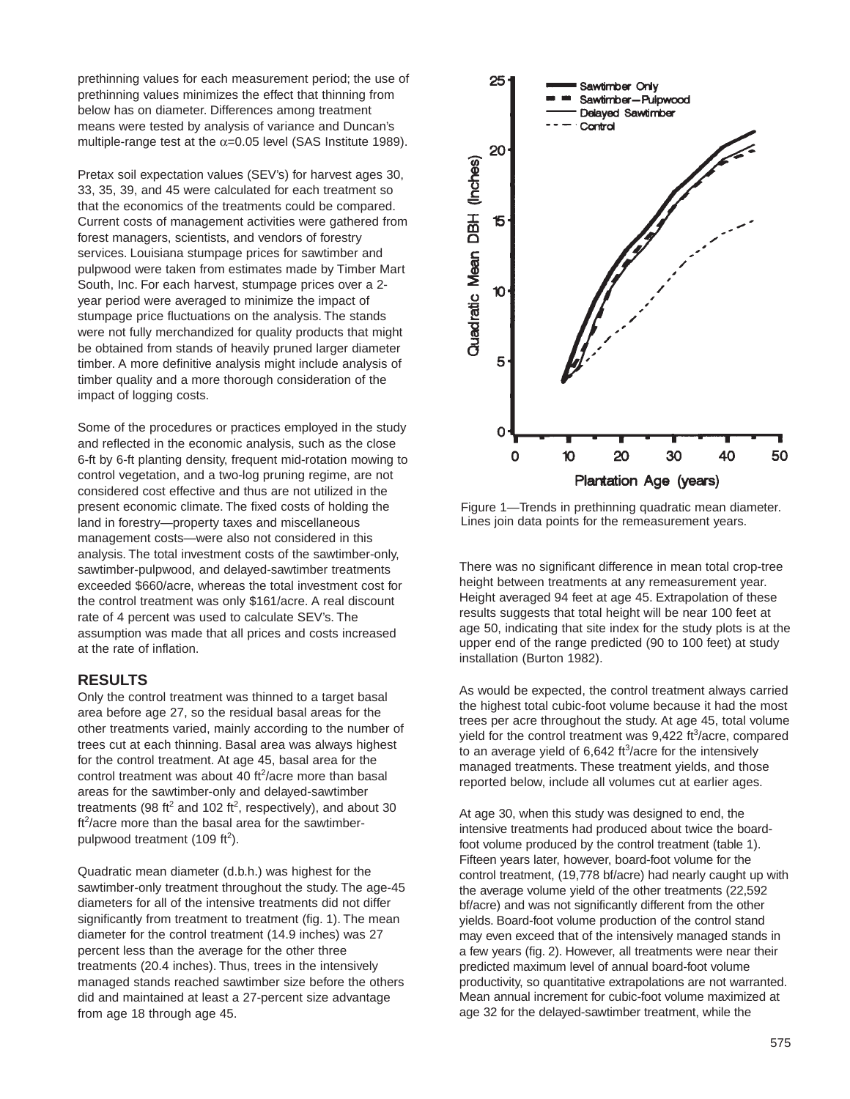prethinning values for each measurement period; the use of prethinning values minimizes the effect that thinning from below has on diameter. Differences among treatment means were tested by analysis of variance and Duncan's multiple-range test at the  $\alpha$ =0.05 level (SAS Institute 1989).

Pretax soil expectation values (SEV's) for harvest ages 30, 33, 35, 39, and 45 were calculated for each treatment so that the economics of the treatments could be compared. Current costs of management activities were gathered from forest managers, scientists, and vendors of forestry services. Louisiana stumpage prices for sawtimber and pulpwood were taken from estimates made by Timber Mart South, Inc. For each harvest, stumpage prices over a 2 year period were averaged to minimize the impact of stumpage price fluctuations on the analysis. The stands were not fully merchandized for quality products that might be obtained from stands of heavily pruned larger diameter timber. A more definitive analysis might include analysis of timber quality and a more thorough consideration of the impact of logging costs.

Some of the procedures or practices employed in the study and reflected in the economic analysis, such as the close 6-ft by 6-ft planting density, frequent mid-rotation mowing to control vegetation, and a two-log pruning regime, are not considered cost effective and thus are not utilized in the present economic climate. The fixed costs of holding the land in forestry—property taxes and miscellaneous management costs—were also not considered in this analysis. The total investment costs of the sawtimber-only, sawtimber-pulpwood, and delayed-sawtimber treatments exceeded \$660/acre, whereas the total investment cost for the control treatment was only \$161/acre. A real discount rate of 4 percent was used to calculate SEV's. The assumption was made that all prices and costs increased at the rate of inflation.

### **RESULTS**

Only the control treatment was thinned to a target basal area before age 27, so the residual basal areas for the other treatments varied, mainly according to the number of trees cut at each thinning. Basal area was always highest for the control treatment. At age 45, basal area for the control treatment was about 40  $\text{ft}^2/\text{acre}$  more than basal areas for the sawtimber-only and delayed-sawtimber treatments (98 ft<sup>2</sup> and 102 ft<sup>2</sup>, respectively), and about 30 ft<sup>2</sup>/acre more than the basal area for the sawtimberpulpwood treatment (109 $\text{ft}^2$ ).

Quadratic mean diameter (d.b.h.) was highest for the sawtimber-only treatment throughout the study. The age-45 diameters for all of the intensive treatments did not differ significantly from treatment to treatment (fig. 1). The mean diameter for the control treatment (14.9 inches) was 27 percent less than the average for the other three treatments (20.4 inches). Thus, trees in the intensively managed stands reached sawtimber size before the others did and maintained at least a 27-percent size advantage from age 18 through age 45.



Figure 1—Trends in prethinning quadratic mean diameter. Lines join data points for the remeasurement years.

There was no significant difference in mean total crop-tree height between treatments at any remeasurement year. Height averaged 94 feet at age 45. Extrapolation of these results suggests that total height will be near 100 feet at age 50, indicating that site index for the study plots is at the upper end of the range predicted (90 to 100 feet) at study installation (Burton 1982).

As would be expected, the control treatment always carried the highest total cubic-foot volume because it had the most trees per acre throughout the study. At age 45, total volume yield for the control treatment was 9,422 ft<sup>3</sup>/acre, compared to an average yield of  $6,642$  ft $3/2$ acre for the intensively managed treatments. These treatment yields, and those reported below, include all volumes cut at earlier ages.

At age 30, when this study was designed to end, the intensive treatments had produced about twice the boardfoot volume produced by the control treatment (table 1). Fifteen years later, however, board-foot volume for the control treatment, (19,778 bf/acre) had nearly caught up with the average volume yield of the other treatments (22,592 bf/acre) and was not significantly different from the other yields. Board-foot volume production of the control stand may even exceed that of the intensively managed stands in a few years (fig. 2). However, all treatments were near their predicted maximum level of annual board-foot volume productivity, so quantitative extrapolations are not warranted. Mean annual increment for cubic-foot volume maximized at age 32 for the delayed-sawtimber treatment, while the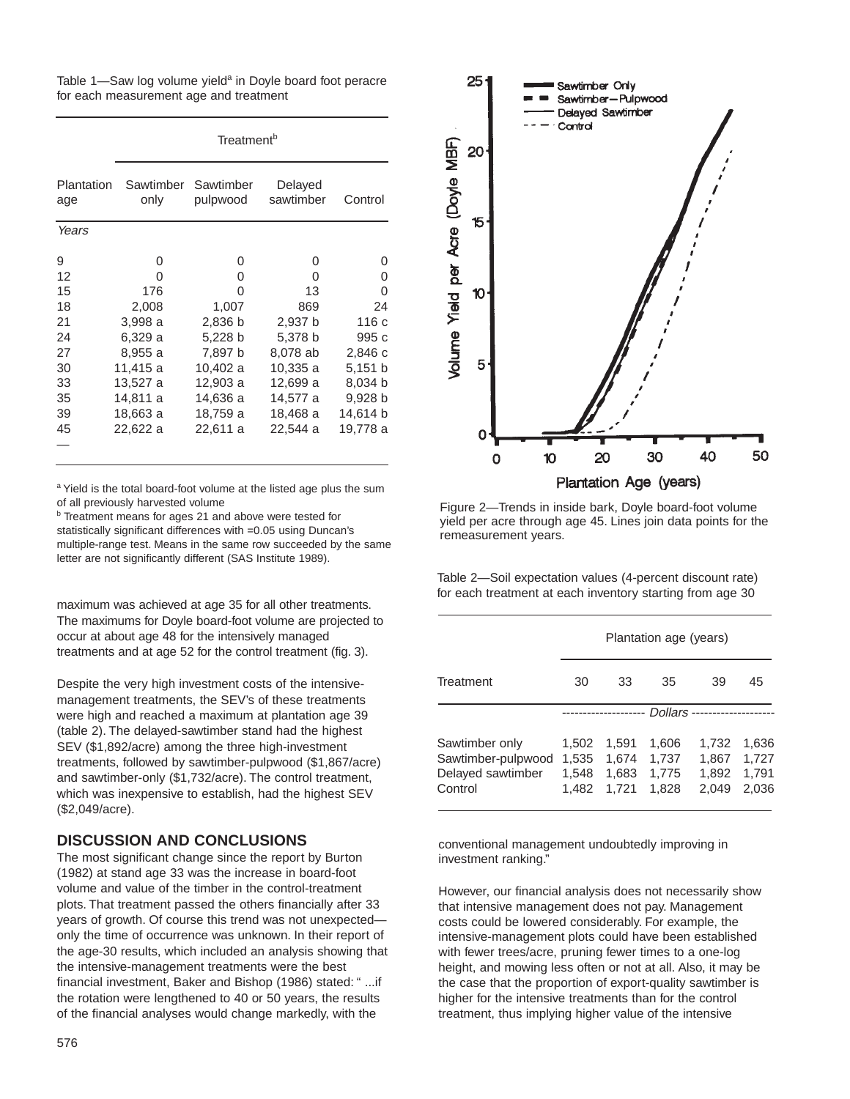Table 1—Saw log volume yield<sup>a</sup> in Doyle board foot peracre for each measurement age and treatment

|                   | Treatment <sup>b</sup> |                       |                      |          |  |  |  |  |
|-------------------|------------------------|-----------------------|----------------------|----------|--|--|--|--|
| Plantation<br>age | Sawtimber<br>only      | Sawtimber<br>pulpwood | Delayed<br>sawtimber | Control  |  |  |  |  |
| Years             |                        |                       |                      |          |  |  |  |  |
| 9                 | 0                      | 0                     | 0                    | 0        |  |  |  |  |
| 12                | ი                      | 0                     | 0                    | 0        |  |  |  |  |
| 15                | 176                    | O                     | 13                   | 0        |  |  |  |  |
| 18                | 2,008                  | 1,007                 | 869                  | 24       |  |  |  |  |
| 21                | 3,998a                 | 2,836 b               | 2,937 b              | 116 с    |  |  |  |  |
| 24                | 6,329 a                | 5,228 b               | 5,378 b              | 995 c    |  |  |  |  |
| 27                | 8,955 a                | 7,897 b               | 8,078 ab             | 2,846 с  |  |  |  |  |
| 30                | 11,415 a               | 10,402 a              | 10,335 a             | 5,151 b  |  |  |  |  |
| 33                | 13,527 a               | 12,903 a              | 12,699 a             | 8,034 b  |  |  |  |  |
| 35                | 14,811 a               | 14,636 a              | 14,577 a             | 9,928 b  |  |  |  |  |
| 39                | 18,663 a               | 18,759 a              | 18,468 a             | 14,614 b |  |  |  |  |
| 45                | 22,622 a               | 22,611 a              | 22,544 a             | 19,778 a |  |  |  |  |
|                   |                        |                       |                      |          |  |  |  |  |

a Yield is the total board-foot volume at the listed age plus the sum of all previously harvested volume

**b** Treatment means for ages 21 and above were tested for statistically significant differences with =0.05 using Duncan's multiple-range test. Means in the same row succeeded by the same letter are not significantly different (SAS Institute 1989).

maximum was achieved at age 35 for all other treatments. The maximums for Doyle board-foot volume are projected to occur at about age 48 for the intensively managed treatments and at age 52 for the control treatment (fig. 3).

Despite the very high investment costs of the intensivemanagement treatments, the SEV's of these treatments were high and reached a maximum at plantation age 39 (table 2). The delayed-sawtimber stand had the highest SEV (\$1,892/acre) among the three high-investment treatments, followed by sawtimber-pulpwood (\$1,867/acre) and sawtimber-only (\$1,732/acre). The control treatment, which was inexpensive to establish, had the highest SEV (\$2,049/acre).

### **DISCUSSION AND CONCLUSIONS**

The most significant change since the report by Burton (1982) at stand age 33 was the increase in board-foot volume and value of the timber in the control-treatment plots. That treatment passed the others financially after 33 years of growth. Of course this trend was not unexpected only the time of occurrence was unknown. In their report of the age-30 results, which included an analysis showing that the intensive-management treatments were the best financial investment, Baker and Bishop (1986) stated: " ...if the rotation were lengthened to 40 or 50 years, the results of the financial analyses would change markedly, with the



Figure 2—Trends in inside bark, Doyle board-foot volume yield per acre through age 45. Lines join data points for the remeasurement years.

Table 2—Soil expectation values (4-percent discount rate) for each treatment at each inventory starting from age 30

|                                                                      | Plantation age (years)           |                                  |                                  |                                  |                                  |  |
|----------------------------------------------------------------------|----------------------------------|----------------------------------|----------------------------------|----------------------------------|----------------------------------|--|
| Treatment                                                            | 30                               | 33                               | 35                               | 39                               | 45                               |  |
|                                                                      |                                  |                                  |                                  | Dollars --------------           |                                  |  |
| Sawtimber only<br>Sawtimber-pulpwood<br>Delayed sawtimber<br>Control | 1,502<br>1,535<br>1,548<br>1.482 | 1.591<br>1,674<br>1,683<br>1.721 | 1.606<br>1,737<br>1,775<br>1,828 | 1.732<br>1,867<br>1.892<br>2.049 | 1,636<br>1,727<br>1,791<br>2.036 |  |

conventional management undoubtedly improving in investment ranking."

However, our financial analysis does not necessarily show that intensive management does not pay. Management costs could be lowered considerably. For example, the intensive-management plots could have been established with fewer trees/acre, pruning fewer times to a one-log height, and mowing less often or not at all. Also, it may be the case that the proportion of export-quality sawtimber is higher for the intensive treatments than for the control treatment, thus implying higher value of the intensive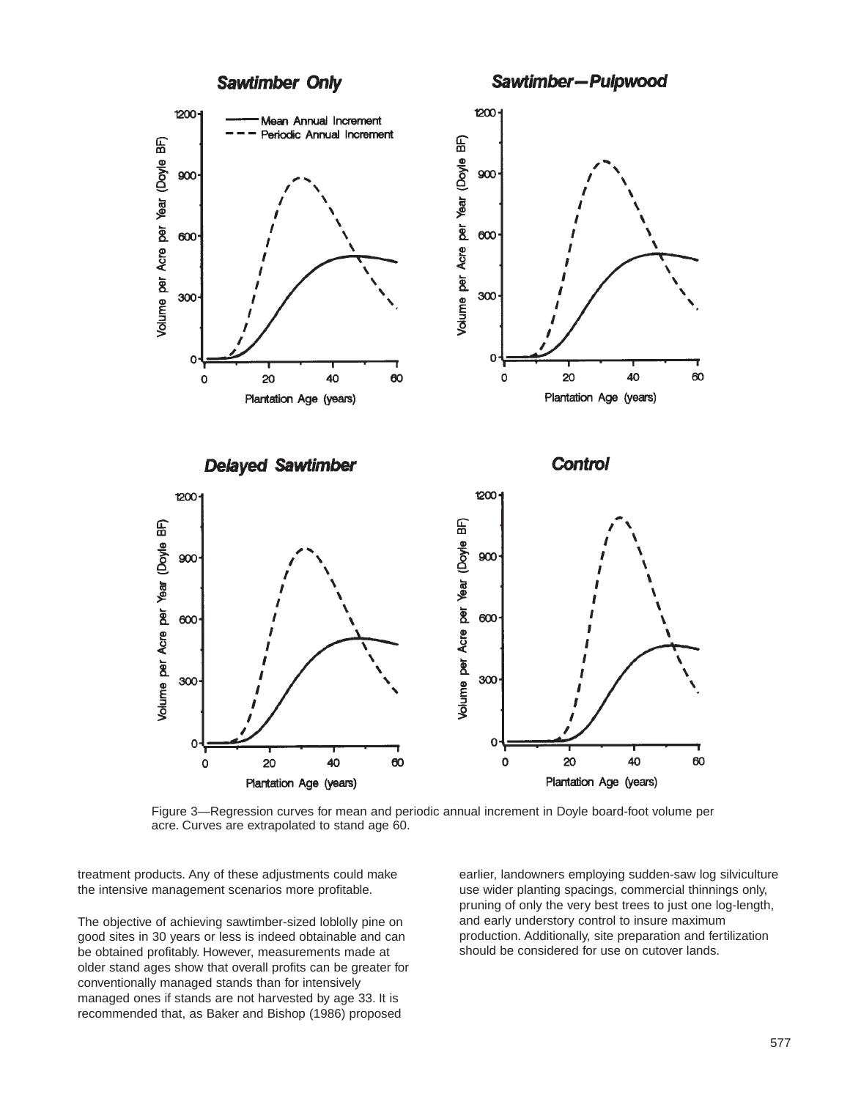

Figure 3—Regression curves for mean and periodic annual increment in Doyle board-foot volume per acre. Curves are extrapolated to stand age 60.

treatment products. Any of these adjustments could make the intensive management scenarios more profitable.

The objective of achieving sawtimber-sized loblolly pine on good sites in 30 years or less is indeed obtainable and can be obtained profitably. However, measurements made at older stand ages show that overall profits can be greater for conventionally managed stands than for intensively managed ones if stands are not harvested by age 33. It is recommended that, as Baker and Bishop (1986) proposed

earlier, landowners employing sudden-saw log silviculture use wider planting spacings, commercial thinnings only, pruning of only the very best trees to just one log-length, and early understory control to insure maximum production. Additionally, site preparation and fertilization should be considered for use on cutover lands.